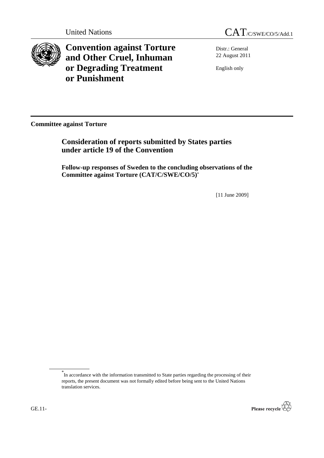

**Convention against Torture and Other Cruel, Inhuman or Degrading Treatment or Punishment**



Distr.: General 22 August 2011

English only

**Committee against Torture**

**Consideration of reports submitted by States parties under article 19 of the Convention**

**Follow-up responses of Sweden to the concluding observations of the Committee against Torture (CAT/C/SWE/CO/5)** *\**

[11 June 2009]

<sup>\*</sup> In accordance with the information transmitted to State parties regarding the processing of their reports, the present document was not formally edited before being sent to the United Nations translation services.

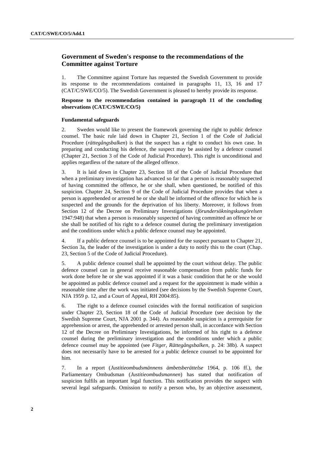# **Government of Sweden's response to the recommendations of the Committee against Torture**

1. The Committee against Torture has requested the Swedish Government to provide its response to the recommendations contained in paragraphs 11, 13, 16 and 17 (CAT/C/SWE/CO/5). The Swedish Government is pleased to hereby provide its response.

### **Response to the recommendation contained in paragraph 11 of the concluding observations (CAT/C/SWE/CO/5)**

#### **Fundamental safeguards**

2. Sweden would like to present the framework governing the right to public defence counsel. The basic rule laid down in Chapter 21, Section 1 of the Code of Judicial Procedure (*rättegångsbalken*) is that the suspect has a right to conduct his own case. In preparing and conducting his defence, the suspect may be assisted by a defence counsel (Chapter 21, Section 3 of the Code of Judicial Procedure). This right is unconditional and applies regardless of the nature of the alleged offence.

3. It is laid down in Chapter 23, Section 18 of the Code of Judicial Procedure that when a preliminary investigation has advanced so far that a person is reasonably suspected of having committed the offence, he or she shall, when questioned, be notified of this suspicion. Chapter 24, Section 9 of the Code of Judicial Procedure provides that when a person is apprehended or arrested he or she shall be informed of the offence for which he is suspected and the grounds for the deprivation of his liberty. Moreover, it follows from Section 12 of the Decree on Preliminary Investigations (*förundersökningskungörelsen*  1947:948) that when a person is reasonably suspected of having committed an offence he or she shall be notified of his right to a defence counsel during the preliminary investigation and the conditions under which a public defence counsel may be appointed.

4. If a public defence counsel is to be appointed for the suspect pursuant to Chapter 21, Section 3a, the leader of the investigation is under a duty to notify this to the court (Chap. 23, Section 5 of the Code of Judicial Procedure).

5. A public defence counsel shall be appointed by the court without delay. The public defence counsel can in general receive reasonable compensation from public funds for work done before he or she was appointed if it was a basic condition that he or she would be appointed as public defence counsel and a request for the appointment is made within a reasonable time after the work was initiated (see decisions by the Swedish Supreme Court, NJA 1959 p. 12, and a Court of Appeal, RH 2004:85).

6. The right to a defence counsel coincides with the formal notification of suspicion under Chapter 23, Section 18 of the Code of Judicial Procedure (see decision by the Swedish Supreme Court, NJA 2001 p. 344). As reasonable suspicion is a prerequisite for apprehension or arrest, the apprehended or arrested person shall, in accordance with Section 12 of the Decree on Preliminary Investigations, be informed of his right to a defence counsel during the preliminary investigation and the conditions under which a public defence counsel may be appointed (see *Fitger*, *Rättegångsbalken*, p. 24: 38b). A suspect does not necessarily have to be arrested for a public defence counsel to be appointed for him.

7. In a report (*Justitieombudsmännens ämbetsberättelse* 1964, p. 106 ff.), the Parliamentary Ombudsman (*Justitieombudsmannen*) has stated that notification of suspicion fulfils an important legal function. This notification provides the suspect with several legal safeguards. Omission to notify a person who, by an objective assessment,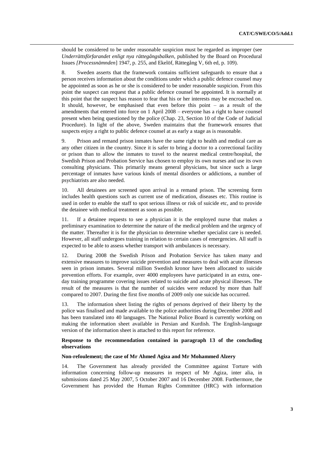should be considered to be under reasonable suspicion must be regarded as improper (see *Underrättsförfarandet enligt nya rättegångsbalken*, published by the Board on Procedural Issues *[Processnämnden*] 1947, p. 255, and Ekelöf, Rättegång V, 6th ed, p. 109).

8. Sweden asserts that the framework contains sufficient safeguards to ensure that a person receives information about the conditions under which a public defence counsel may be appointed as soon as he or she is considered to be under reasonable suspicion. From this point the suspect can request that a public defence counsel be appointed. It is normally at this point that the suspect has reason to fear that his or her interests may be encroached on. It should, however, be emphasised that even before this point – as a result of the amendments that entered into force on 1 April 2008 – everyone has a right to have counsel present when being questioned by the police (Chap. 23, Section 10 of the Code of Judicial Procedure). In light of the above, Sweden maintains that the framework ensures that suspects enjoy a right to public defence counsel at as early a stage as is reasonable.

9. Prison and remand prison inmates have the same right to health and medical care as any other citizen in the country. Since it is safer to bring a doctor to a correctional facility or prison than to allow the inmates to travel to the nearest medical centre/hospital, the Swedish Prison and Probation Service has chosen to employ its own nurses and use its own consulting physicians. This primarily means general physicians, but since such a large percentage of inmates have various kinds of mental disorders or addictions, a number of psychiatrists are also needed.

10. All detainees are screened upon arrival in a remand prison. The screening form includes health questions such as current use of medication, diseases etc. This routine is used in order to enable the staff to spot serious illness or risk of suicide etc, and to provide the detainee with medical treatment as soon as possible.

11. If a detainee requests to see a physician it is the employed nurse that makes a preliminary examination to determine the nature of the medical problem and the urgency of the matter. Thereafter it is for the physician to determine whether specialist care is needed. However, all staff undergoes training in relation to certain cases of emergencies. All staff is expected to be able to assess whether transport with ambulances is necessary.

12. During 2008 the Swedish Prison and Probation Service has taken many and extensive measures to improve suicide prevention and measures to deal with acute illnesses seen in prison inmates. Several million Swedish kronor have been allocated to suicide prevention efforts. For example, over 4000 employees have participated in an extra, oneday training programme covering issues related to suicide and acute physical illnesses. The result of the measures is that the number of suicides were reduced by more than half compared to 2007. During the first five months of 2009 only one suicide has occurred.

13. The information sheet listing the rights of persons deprived of their liberty by the police was finalised and made available to the police authorities during December 2008 and has been translated into 40 languages. The National Police Board is currently working on making the information sheet available in Persian and Kurdish. The English-language version of the information sheet is attached to this report for reference.

# **Response to the recommendation contained in paragraph 13 of the concluding observations**

#### **Non-refoulement; the case of Mr Ahmed Agiza and Mr Mohammed Alzery**

14. The Government has already provided the Committee against Torture with information concerning follow-up measures in respect of Mr Agiza, inter alia, in submissions dated 25 May 2007, 5 October 2007 and 16 December 2008. Furthermore, the Government has provided the Human Rights Committee (HRC) with information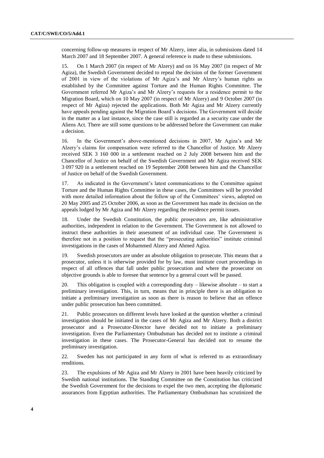concerning follow-up measures in respect of Mr Alzery, inter alia, in submissions dated 14 March 2007 and 18 September 2007. A general reference is made to these submissions.

15. On 1 March 2007 (in respect of Mr Alzery) and on 16 May 2007 (in respect of Mr Agiza), the Swedish Government decided to repeal the decision of the former Government of 2001 in view of the violations of Mr Agiza's and Mr Alzery's human rights as established by the Committee against Torture and the Human Rights Committee. The Government referred Mr Agiza's and Mr Alzery's requests for a residence permit to the Migration Board, which on 10 May 2007 (in respect of Mr Alzery) and 9 October 2007 (in respect of Mr Agiza) rejected the applications. Both Mr Agiza and Mr Alzery currently have appeals pending against the Migration Board's decisions. The Government will decide in the matter as a last instance, since the case still is regarded as a security case under the Aliens Act. There are still some questions to be addressed before the Government can make a decision.

16. In the Government's above-mentioned decisions in 2007, Mr Agiza's and Mr Alzery's claims for compensation were referred to the Chancellor of Justice. Mr Alzery received SEK 3 160 000 in a settlement reached on 2 July 2008 between him and the Chancellor of Justice on behalf of the Swedish Government and Mr Agiza received SEK 3 097 920 in a settlement reached on 19 September 2008 between him and the Chancellor of Justice on behalf of the Swedish Government.

17. As indicated in the Government's latest communications to the Committee against Torture and the Human Rights Committee in these cases, the Committees will be provided with more detailed information about the follow up of the Committees' views, adopted on 20 May 2005 and 25 October 2006, as soon as the Government has made its decision on the appeals lodged by Mr Agiza and Mr Alzery regarding the residence permit issues.

18. Under the Swedish Constitution, the public prosecutors are, like administrative authorities, independent in relation to the Government. The Government is not allowed to instruct these authorities in their assessment of an individual case. The Government is therefore not in a position to request that the "prosecuting authorities" institute criminal investigations in the cases of Mohammed Alzery and Ahmed Agiza.

19. Swedish prosecutors are under an absolute obligation to prosecute. This means that a prosecutor, unless it is otherwise provided for by law, must institute court proceedings in respect of all offences that fall under public prosecution and where the prosecutor on objective grounds is able to foresee that sentence by a general court will be passed.

20. This obligation is coupled with a corresponding duty – likewise absolute – to start a preliminary investigation. This, in turn, means that in principle there is an obligation to initiate a preliminary investigation as soon as there is reason to believe that an offence under public prosecution has been committed.

21. Public prosecutors on different levels have looked at the question whether a criminal investigation should be initiated in the cases of Mr Agiza and Mr Alzery. Both a district prosecutor and a Prosecutor-Director have decided not to initiate a preliminary investigation. Even the Parliamentary Ombudsman has decided not to institute a criminal investigation in these cases. The Prosecutor-General has decided not to resume the preliminary investigation.

22. Sweden has not participated in any form of what is referred to as extraordinary renditions.

23. The expulsions of Mr Agiza and Mr Alzery in 2001 have been heavily criticized by Swedish national institutions. The Standing Committee on the Constitution has criticized the Swedish Government for the decisions to expel the two men, accepting the diplomatic assurances from Egyptian authorities. The Parliamentary Ombudsman has scrutinized the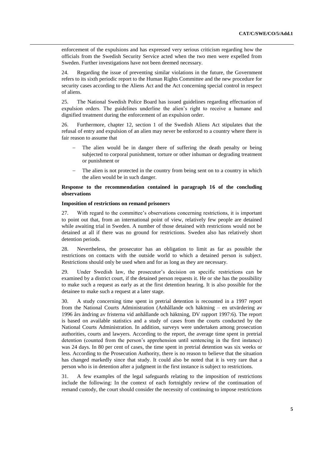enforcement of the expulsions and has expressed very serious criticism regarding how the officials from the Swedish Security Service acted when the two men were expelled from Sweden. Further investigations have not been deemed necessary.

24. Regarding the issue of preventing similar violations in the future, the Government refers to its sixth periodic report to the Human Rights Committee and the new procedure for security cases according to the Aliens Act and the Act concerning special control in respect of aliens.

25. The National Swedish Police Board has issued guidelines regarding effectuation of expulsion orders. The guidelines underline the alien's right to receive a humane and dignified treatment during the enforcement of an expulsion order.

26. Furthermore, chapter 12, section 1 of the Swedish Aliens Act stipulates that the refusal of entry and expulsion of an alien may never be enforced to a country where there is fair reason to assume that

- The alien would be in danger there of suffering the death penalty or being subjected to corporal punishment, torture or other inhuman or degrading treatment or punishment or
- The alien is not protected in the country from being sent on to a country in which the alien would be in such danger.

### **Response to the recommendation contained in paragraph 16 of the concluding observations**

#### **Imposition of restrictions on remand prisoners**

27. With regard to the committee's observations concerning restrictions, it is important to point out that, from an international point of view, relatively few people are detained while awaiting trial in Sweden. A number of those detained with restrictions would not be detained at all if there was no ground for restrictions. Sweden also has relatively short detention periods.

28. Nevertheless, the prosecutor has an obligation to limit as far as possible the restrictions on contacts with the outside world to which a detained person is subject. Restrictions should only be used when and for as long as they are necessary.

29. Under Swedish law, the prosecutor's decision on specific restrictions can be examined by a district court, if the detained person requests it. He or she has the possibility to make such a request as early as at the first detention hearing. It is also possible for the detainee to make such a request at a later stage.

30. A study concerning time spent in pretrial detention is recounted in a 1997 report from the National Courts Administration (Anhållande och häktning – en utvärdering av 1996 års ändring av fristerna vid anhållande och häktning, DV rapport 1997:6). The report is based on available statistics and a study of cases from the courts conducted by the National Courts Administration. In addition, surveys were undertaken among prosecution authorities, courts and lawyers. According to the report, the average time spent in pretrial detention (counted from the person's apprehension until sentencing in the first instance) was 24 days. In 80 per cent of cases, the time spent in pretrial detention was six weeks or less. According to the Prosecution Authority, there is no reason to believe that the situation has changed markedly since that study. It could also be noted that it is very rare that a person who is in detention after a judgment in the first instance is subject to restrictions.

31. A few examples of the legal safeguards relating to the imposition of restrictions include the following: In the context of each fortnightly review of the continuation of remand custody, the court should consider the necessity of continuing to impose restrictions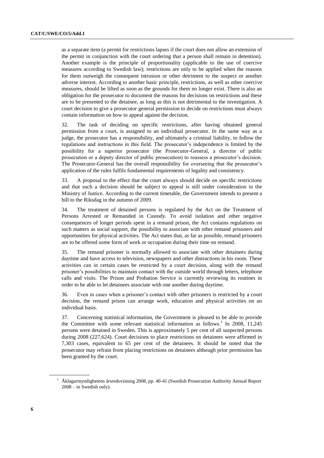as a separate item (a permit for restrictions lapses if the court does not allow an extension of the permit in conjunction with the court ordering that a person shall remain in detention). Another example is the principle of proportionality (applicable to the use of coercive measures according to Swedish law); restrictions are only to be applied when the reasons for them outweigh the consequent intrusion or other detriment to the suspect or another adverse interest. According to another basic principle, restrictions, as well as other coercive measures, should be lifted as soon as the grounds for them no longer exist. There is also an obligation for the prosecutor to document the reasons for decisions on restrictions and these are to be presented to the detainee, as long as this is not detrimental to the investigation. A court decision to give a prosecutor general permission to decide on restrictions must always contain information on how to appeal against the decision.

32. The task of deciding on specific restrictions, after having obtained general permission from a court, is assigned to an individual prosecutor. In the same way as a judge, the prosecutor has a responsibility, and ultimately a criminal liability, to follow the regulations and instructions in this field. The prosecutor's independence is limited by the possibility for a superior prosecutor (the Prosecutor-General, a director of public prosecution or a deputy director of public prosecution) to reassess a prosecutor's decision. The Prosecutor-General has the overall responsibility for overseeing that the prosecutor's application of the rules fulfils fundamental requirements of legality and consistency.

33. A proposal to the effect that the court always should decide on specific restrictions and that such a decision should be subject to appeal is still under consideration in the Ministry of Justice. According to the current timetable, the Government intends to present a bill to the Riksdag in the autumn of 2009.

34. The treatment of detained persons is regulated by the Act on the Treatment of Persons Arrested or Remanded in Custody. To avoid isolation and other negative consequences of longer periods spent in a remand prison, the Act contains regulations on such matters as social support, the possibility to associate with other remand prisoners and opportunities for physical activities. The Act states that, as far as possible, remand prisoners are to be offered some form of work or occupation during their time on remand.

35. The remand prisoner is normally allowed to associate with other detainees during daytime and have access to television, newspapers and other distractions in his room. These activities can in certain cases be restricted by a court decision, along with the remand prisoner's possibilities to maintain contact with the outside world through letters, telephone calls and visits. The Prison and Probation Service is currently reviewing its routines in order to be able to let detainees associate with one another during daytime.

36. Even in cases when a prisoner's contact with other prisoners is restricted by a court decision, the remand prison can arrange work, education and physical activities on an individual basis.

37. Concerning statistical information, the Government is pleased to be able to provide the Committee with some relevant statistical information as follows.<sup>1</sup> In 2008, 11,245 persons were detained in Sweden. This is approximately 5 per cent of all suspected persons during 2008 (227,624). Court decisions to place restrictions on detainees were affirmed in 7,303 cases, equivalent to 65 per cent of the detainees. It should be noted that the prosecutor may refrain from placing restrictions on detainees although prior permission has been granted by the court.

<sup>1</sup> Åklagarmyndighetens årsredovisning 2008, pp. 40-41 (Swedish Prosecution Authority Annual Report 2008 – in Swedish only).